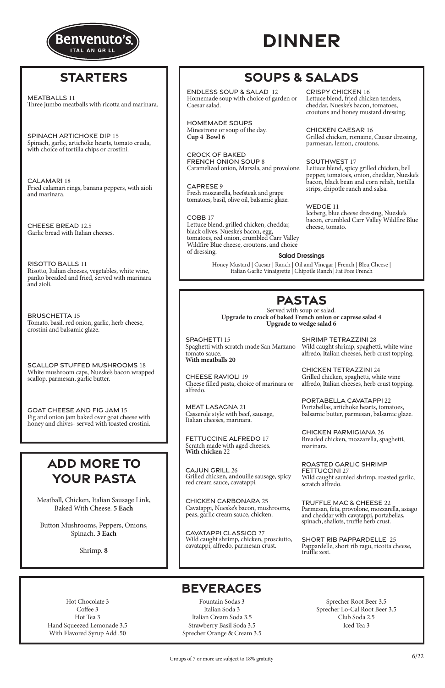# **PASTAS**

Served with soup or salad. **Upgrade to crock of baked French onion or caprese salad 4 Upgrade to wedge salad 6**

### **BEVERAGES**

Hot Chocolate 3 Coffee 3 Hot Tea 3 Hand Squeezed Lemonade 3.5 With Flavored Syrup Add .50

Fountain Sodas 3 Italian Soda 3 Italian Cream Soda 3.5 Strawberry Basil Soda 3.5 Sprecher Orange & Cream 3.5

Sprecher Root Beer 3.5 Sprecher Lo-Cal Root Beer 3.5 Club Soda 2.5 Iced Tea 3



# **DINNER**

SPAGHETTI 15 Spaghetti with scratch made San Marzano tomato sauce. **With meatballs 20**

CHEESE RAVIOLI 19 Cheese filled pasta, choice of marinara or alfredo.

MEAT LASAGNA 21 Casserole style with beef, sausage, Italian cheeses, marinara.

FETTUCCINE ALFREDO 17 Scratch made with aged cheeses. **With chicken** 22

CAJUN GRILL 26 Grilled chicken, andouille sausage, spicy red cream sauce, cavatappi.

CHICKEN CARBONARA 25 Cavatappi, Nueske's bacon, mushrooms, peas, garlic cream sauce, chicken.

CAVATAPPI CLASSICO 27

Wild caught shrimp, chicken, prosciutto, cavatappi, alfredo, parmesan crust.

SHRIMP TETRAZZINI 28 Wild caught shrimp, spaghetti, white wine alfredo, Italian cheeses, herb crust topping.

CHICKEN TETRAZZINI 24 Grilled chicken, spaghetti, white wine alfredo, Italian cheeses, herb crust topping.

PORTABELLA CAVATAPPI 22 Portabellas, artichoke hearts, tomatoes, balsamic butter, parmesan, balsamic glaze.

CHICKEN PARMIGIANA 26 Breaded chicken, mozzarella, spaghetti, marinara.

ROASTED GARLIC SHRIMP FETTUCCINI 27 Wild caught sautéed shrimp, roasted garlic, scratch alfredo.

TRUFFLE MAC & CHEESE 22

Parmesan, feta, provolone, mozzarella, asiago and cheddar with cavatappi, portabellas, spinach, shallots, truffle herb crust.

SHORT RIB PAPPARDELLE 25 Pappardelle, short rib ragu, ricotta cheese, truffle zest.

Meatball, Chicken, Italian Sausage Link,

Baked With Cheese. **5 Each**

Button Mushrooms, Peppers, Onions, Spinach. **3 Each**

Shrimp. **8**

# **ADD MORE TO YOUR PASTA**

## **STARTERS**

MEATBALLS 11 Three jumbo meatballs with ricotta and marinara.

SPINACH ARTICHOKE DIP 15 Spinach, garlic, artichoke hearts, tomato cruda, with choice of tortilla chips or crostini.

CALAMARI 18 Fried calamari rings, banana peppers, with aioli and marinara.

CHEESE BREAD 12.5 Garlic bread with Italian cheeses.

RISOTTO BALLS 11 Risotto, Italian cheeses, vegetables, white wine, panko breaded and fried, served with marinara and aioli.

BRUSCHETTA 15 Tomato, basil, red onion, garlic, herb cheese, crostini and balsamic glaze.

SCALLOP STUFFED MUSHROOMS 18 White mushroom caps, Nueske's bacon wrapped scallop, parmesan, garlic butter.

GOAT CHEESE AND FIG JAM 15 Fig and onion jam baked over goat cheese with honey and chives- served with toasted crostini.

### Salad Dressings

Honey Mustard | Caesar | Ranch | Oil and Vinegar | French | Bleu Cheese | Italian Garlic Vinaigrette | Chipotle Ranch| Fat Free French

# **SOUPS & SALADS**

### CRISPY CHICKEN 16

Lettuce blend, fried chicken tenders, cheddar, Nueske's bacon, tomatoes, croutons and honey mustard dressing.

CHICKEN CAESAR 16 Grilled chicken, romaine, Caesar dressing, parmesan, lemon, croutons.

### SOUTHWEST 17

Lettuce blend, spicy grilled chicken, bell pepper, tomatoes, onion, cheddar, Nueske's bacon, black bean and corn relish, tortilla strips, chipotle ranch and salsa.

WEDGE 11 Iceberg, blue cheese dressing, Nueske's bacon, crumbled Carr Valley Wildfire Blue cheese, tomato.

ENDLESS SOUP & SALAD 12 Homemade soup with choice of garden or Caesar salad.

HOMEMADE SOUPS Minestrone or soup of the day. **Cup 4 Bowl 6** 

CROCK OF BAKED FRENCH ONION SOUP 8 Caramelized onion, Marsala, and provolone.

CAPRESE 9 Fresh mozzarella, beefsteak and grape tomatoes, basil, olive oil, balsamic glaze.

#### COBB 17 Lettuce blend, grilled chicken, cheddar, black olives, Nueske's bacon, egg, tomatoes, red onion, crumbled Carr Valley Wildfire Blue cheese, croutons, and choice of dressing.